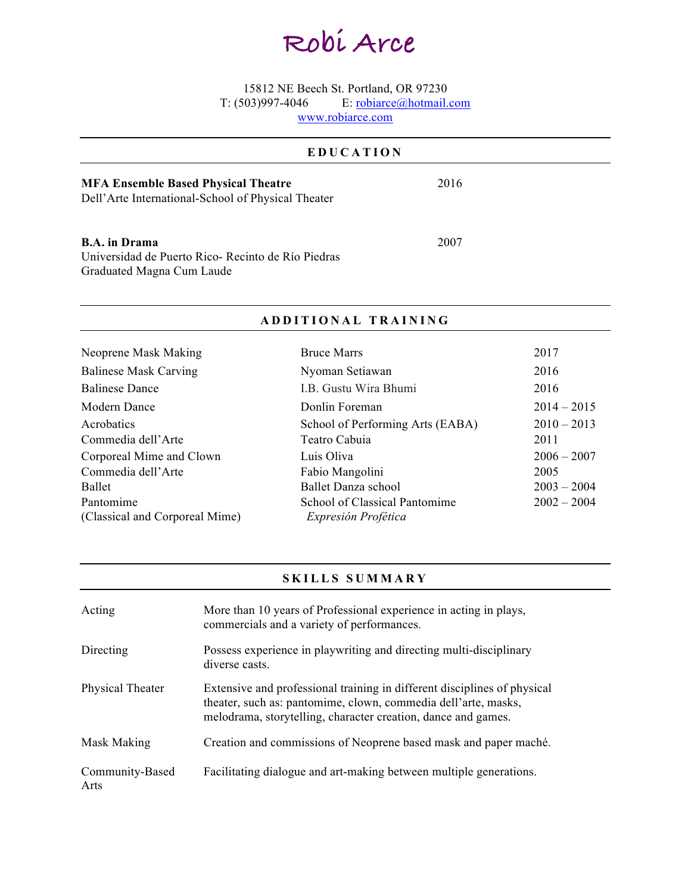# **Robi Arce**

15812 NE Beech St. Portland, OR 97230 T: (503)997-4046 E: robiarce@hotmail.com

www.robiarce.com

### **EDUCATION MFA Ensemble Based Physical Theatre**  Dell'Arte International-School of Physical Theater 2016 **B.A. in Drama** Universidad de Puerto Rico- Recinto de Río Piedras Graduated Magna Cum Laude 2007

#### **ADDITIONAL TRAINING**

| Neoprene Mask Making                        | <b>Bruce Marrs</b>                                   | 2017          |
|---------------------------------------------|------------------------------------------------------|---------------|
| <b>Balinese Mask Carving</b>                | Nyoman Setiawan                                      | 2016          |
| <b>Balinese Dance</b>                       | I.B. Gustu Wira Bhumi                                | 2016          |
| Modern Dance                                | Donlin Foreman                                       | $2014 - 2015$ |
| Acrobatics                                  | School of Performing Arts (EABA)                     | $2010 - 2013$ |
| Commedia dell'Arte                          | Teatro Cabuia                                        | 2011          |
| Corporeal Mime and Clown                    | Luis Oliva                                           | $2006 - 2007$ |
| Commedia dell'Arte                          | Fabio Mangolini                                      | 2005          |
| Ballet                                      | Ballet Danza school                                  | $2003 - 2004$ |
| Pantomime<br>(Classical and Corporeal Mime) | School of Classical Pantomime<br>Expresión Profética | $2002 - 2004$ |

#### **SKILLS SUMMARY**

| Acting                  | More than 10 years of Professional experience in acting in plays,<br>commercials and a variety of performances.                                                                                             |
|-------------------------|-------------------------------------------------------------------------------------------------------------------------------------------------------------------------------------------------------------|
| Directing               | Possess experience in playwriting and directing multi-disciplinary<br>diverse casts.                                                                                                                        |
| Physical Theater        | Extensive and professional training in different disciplines of physical<br>theater, such as: pantomime, clown, commedia dell'arte, masks,<br>melodrama, storytelling, character creation, dance and games. |
| Mask Making             | Creation and commissions of Neoprene based mask and paper maché.                                                                                                                                            |
| Community-Based<br>Arts | Facilitating dialogue and art-making between multiple generations.                                                                                                                                          |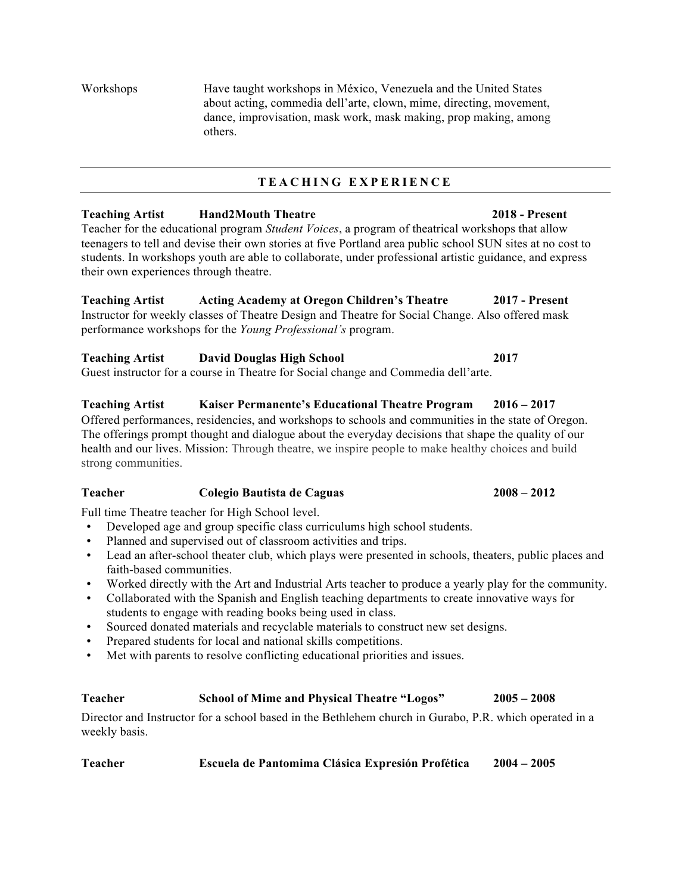Workshops Have taught workshops in México, Venezuela and the United States about acting, commedia dell'arte, clown, mime, directing, movement, dance, improvisation, mask work, mask making, prop making, among others.

#### **TEACHING EXPERIENCE**

## **Teaching Artist Hand2Mouth Theatre 2018 - Present** Teacher for the educational program *Student Voices*, a program of theatrical workshops that allow

teenagers to tell and devise their own stories at five Portland area public school SUN sites at no cost to students. In workshops youth are able to collaborate, under professional artistic guidance, and express their own experiences through theatre.

**Teaching Artist Acting Academy at Oregon Children's Theatre 2017 - Present** Instructor for weekly classes of Theatre Design and Theatre for Social Change. Also offered mask performance workshops for the *Young Professional's* program.

#### **Teaching Artist David Douglas High School 2017** Guest instructor for a course in Theatre for Social change and Commedia dell'arte.

#### **Teaching Artist Kaiser Permanente's Educational Theatre Program 2016 – 2017**

Offered performances, residencies, and workshops to schools and communities in the state of Oregon. The offerings prompt thought and dialogue about the everyday decisions that shape the quality of our health and our lives. Mission: Through theatre, we inspire people to make healthy choices and build strong communities.

### **Teacher Colegio Bautista de Caguas 2008 – 2012**

Full time Theatre teacher for High School level.

- Developed age and group specific class curriculums high school students.
- Planned and supervised out of classroom activities and trips.
- Lead an after-school theater club, which plays were presented in schools, theaters, public places and faith-based communities.
- Worked directly with the Art and Industrial Arts teacher to produce a yearly play for the community.
- Collaborated with the Spanish and English teaching departments to create innovative ways for students to engage with reading books being used in class.
- Sourced donated materials and recyclable materials to construct new set designs.
- Prepared students for local and national skills competitions.
- Met with parents to resolve conflicting educational priorities and issues.

#### **Teacher School of Mime and Physical Theatre "Logos" 2005 – 2008**

Director and Instructor for a school based in the Bethlehem church in Gurabo, P.R. which operated in a weekly basis.

**Teacher Escuela de Pantomima Clásica Expresión Profética 2004 – 2005**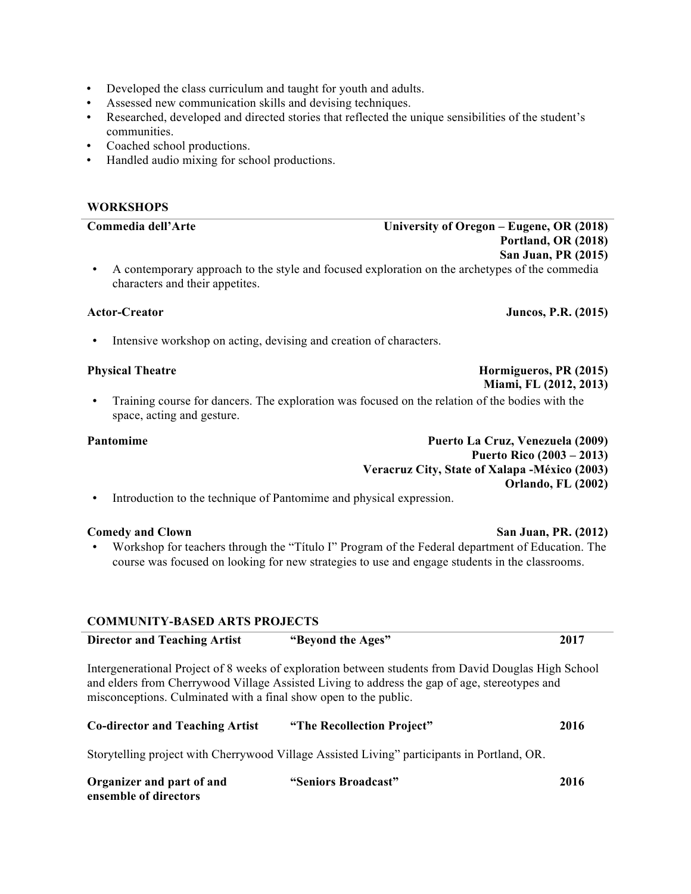- Developed the class curriculum and taught for youth and adults.
- Assessed new communication skills and devising techniques.
- Researched, developed and directed stories that reflected the unique sensibilities of the student's communities.
- Coached school productions.
- Handled audio mixing for school productions.

## **WORKSHOPS Commedia dell'Arte University of Oregon – Eugene, OR (2018) Portland, OR (2018) San Juan, PR (2015)** • A contemporary approach to the style and focused exploration on the archetypes of the commedia characters and their appetites. **Actor-Creator Juncos, P.R. (2015)**

Intensive workshop on acting, devising and creation of characters.

• Training course for dancers. The exploration was focused on the relation of the bodies with the space, acting and gesture.

**Pantomime Puerto La Cruz, Venezuela (2009) Puerto Rico (2003 – 2013) Veracruz City, State of Xalapa -México (2003) Orlando, FL (2002)**

• Introduction to the technique of Pantomime and physical expression.

• Workshop for teachers through the "Título I" Program of the Federal department of Education. The course was focused on looking for new strategies to use and engage students in the classrooms.

#### **COMMUNITY-BASED ARTS PROJECTS**

| <b>Director and Teaching Artist</b>                              | "Beyond the Ages"                                                                                                                                                                                    | 2017 |
|------------------------------------------------------------------|------------------------------------------------------------------------------------------------------------------------------------------------------------------------------------------------------|------|
| misconceptions. Culminated with a final show open to the public. | Intergenerational Project of 8 weeks of exploration between students from David Douglas High School<br>and elders from Cherrywood Village Assisted Living to address the gap of age, stereotypes and |      |
| <b>Co-director and Teaching Artist</b>                           | "The Recollection Project"                                                                                                                                                                           | 2016 |
|                                                                  | Storytelling project with Cherrywood Village Assisted Living" participants in Portland, OR.                                                                                                          |      |
| Organizer and part of and<br>ensemble of directors               | "Seniors Broadcast"                                                                                                                                                                                  | 2016 |

## **Physical Theatre Hormigueros, PR (2015) Hormigueros, PR (2015)**

 **Miami, FL (2012, 2013)**

**Comedy and Clown San Juan, PR. (2012)**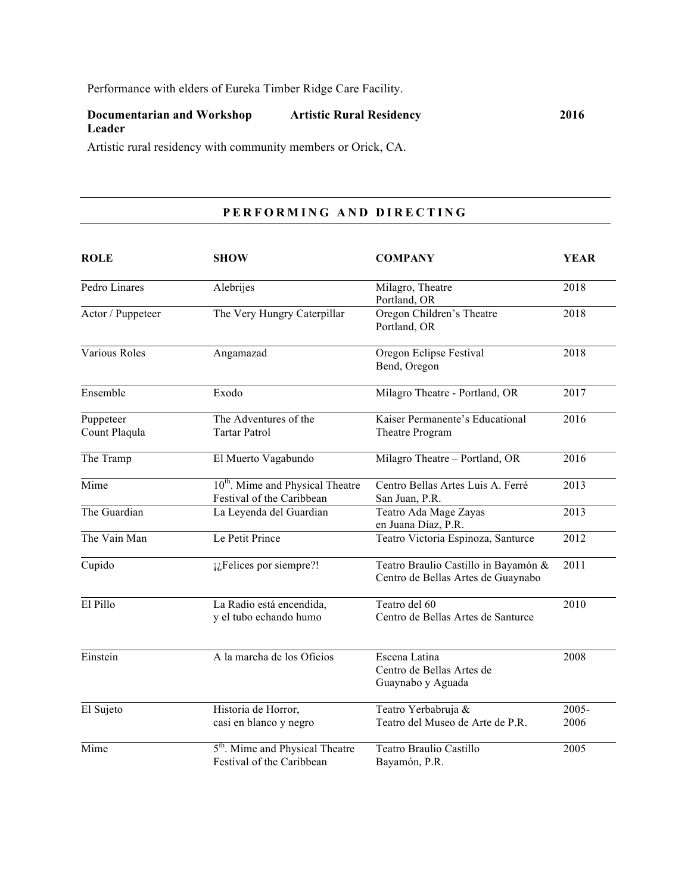Performance with elders of Eureka Timber Ridge Care Facility.

| Documentarian and Workshop | <b>Artistic Rural Residency</b> | 2016 |
|----------------------------|---------------------------------|------|
| Leader                     |                                 |      |

Artistic rural residency with community members or Orick, CA.

### **PERFORMING AND DIRECTING**

| <b>ROLE</b>                | <b>SHOW</b>                                                               | <b>COMPANY</b>                                                             | <b>YEAR</b>   |
|----------------------------|---------------------------------------------------------------------------|----------------------------------------------------------------------------|---------------|
| Pedro Linares              | Alebrijes                                                                 | Milagro, Theatre<br>Portland, OR                                           | 2018          |
| Actor / Puppeteer          | The Very Hungry Caterpillar                                               | Oregon Children's Theatre<br>Portland, OR                                  | 2018          |
| Various Roles              | Angamazad                                                                 | Oregon Eclipse Festival<br>Bend, Oregon                                    | 2018          |
| Ensemble                   | Exodo                                                                     | Milagro Theatre - Portland, OR                                             | 2017          |
| Puppeteer<br>Count Plaqula | The Adventures of the<br><b>Tartar Patrol</b>                             | Kaiser Permanente's Educational<br>Theatre Program                         | 2016          |
| The Tramp                  | El Muerto Vagabundo                                                       | Milagro Theatre - Portland, OR                                             | 2016          |
| Mime                       | 10 <sup>th</sup> . Mime and Physical Theatre<br>Festival of the Caribbean | Centro Bellas Artes Luis A. Ferré<br>San Juan, P.R.                        | 2013          |
| The Guardian               | La Leyenda del Guardian                                                   | Teatro Ada Mage Zayas<br>en Juana Díaz, P.R.                               | 2013          |
| The Vain Man               | Le Petit Prince                                                           | Teatro Victoria Espinoza, Santurce                                         | 2012          |
| Cupido                     | i. Felices por siempre?!                                                  | Teatro Braulio Castillo in Bayamón &<br>Centro de Bellas Artes de Guaynabo | 2011          |
| El Pillo                   | La Radio está encendida,<br>y el tubo echando humo                        | Teatro del 60<br>Centro de Bellas Artes de Santurce                        | 2010          |
| Einstein                   | A la marcha de los Oficios                                                | Escena Latina<br>Centro de Bellas Artes de<br>Guaynabo y Aguada            | 2008          |
| El Sujeto                  | Historia de Horror,<br>casi en blanco y negro                             | Teatro Yerbabruja &<br>Teatro del Museo de Arte de P.R.                    | 2005-<br>2006 |
| Mime                       | 5 <sup>th</sup> . Mime and Physical Theatre<br>Festival of the Caribbean  | Teatro Braulio Castillo<br>Bayamón, P.R.                                   | 2005          |